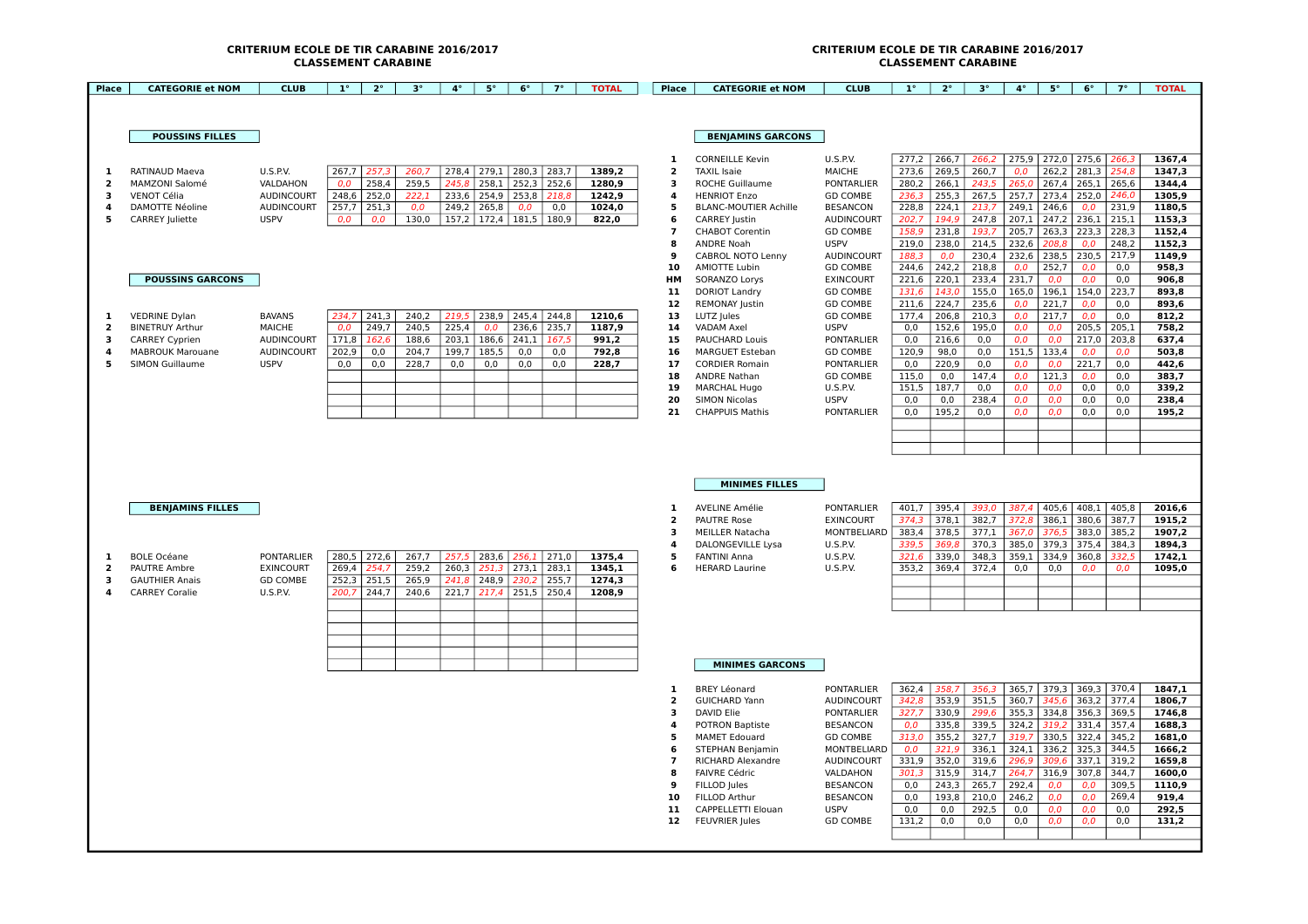## **CLASSEMENT CARABINE CLASSEMENT CARABINE**

## **CRITERIUM ECOLE DE TIR CARABINE 2016/2017 CRITERIUM ECOLE DE TIR CARABINE 2016/2017**

| Place               | <b>CATEGORIE et NOM</b>                        | <b>CLUB</b>                    | $1^{\circ}$    | $2^{\circ}$    | $3^{\circ}$    | $4^{\circ}$    | $5^\circ$      | $6^{\circ}$                   | $7^\circ$     | <b>TOTAL</b>     | Place                         | <b>CATEGORIE et NOM</b>                        | <b>CLUB</b>                          | $1^{\circ}$    | $2^{\circ}$    | $3^{\circ}$    | $4^{\circ}$  | $5^\circ$                      | $6^{\circ}$    | $7^\circ$      | <b>TOTAL</b>     |
|---------------------|------------------------------------------------|--------------------------------|----------------|----------------|----------------|----------------|----------------|-------------------------------|---------------|------------------|-------------------------------|------------------------------------------------|--------------------------------------|----------------|----------------|----------------|--------------|--------------------------------|----------------|----------------|------------------|
|                     |                                                |                                |                |                |                |                |                |                               |               |                  |                               |                                                |                                      |                |                |                |              |                                |                |                |                  |
|                     | <b>POUSSINS FILLES</b>                         |                                |                |                |                |                |                |                               |               |                  |                               | <b>BENJAMINS GARCONS</b>                       |                                      |                |                |                |              |                                |                |                |                  |
|                     |                                                |                                |                |                |                |                |                |                               |               |                  | 1                             | <b>CORNEILLE Kevin</b>                         | U.S.P.V.                             | 277,2          | 266,7          | 266,2          |              | 275,9 272,0 275,6              |                | 266.3          | 1367.4           |
| 1                   | <b>RATINAUD Maeva</b>                          | <b>U.S.P.V.</b>                |                | 267,7 257,3    | 260,7          |                |                | 278,4 279,1 280,3 283,7       |               | 1389,2           | $\overline{2}$                | <b>TAXIL Isaie</b>                             | <b>MAICHE</b>                        | 273,6          | 269,5          | 260,7          | 0,0          | 262,2                          | 281.3          | 254,8          | 1347,3           |
| $\overline{2}$      | <b>MAMZONI Salomé</b>                          | VALDAHON                       | 0.0            | 258,4          | 259,5          | 245.8          | 258.1          |                               | $252,3$ 252,6 | 1280,9           | 3                             | <b>ROCHE Guillaume</b>                         | <b>PONTARLIER</b>                    | 280.2          | 266,1          | 243.5          |              | $265,0$ 267,4                  | 265.1          | 265,6          | 1344.4           |
| 3                   | VENOT Célia                                    | <b>AUDINCOURT</b>              | 248,6          | 252,0          | 222,1          | 233,6          | 254,9          | 253,8                         | 218,8         | 1242,9           | 4                             | <b>HENRIOT Enzo</b>                            | <b>GD COMBE</b>                      | 236,3          | 255,3          | 267,5          |              | 257,7 273,4                    | 252,0          | 246,0          | 1305,9           |
| $\Delta$            | <b>DAMOTTE Néoline</b>                         | <b>AUDINCOURT</b>              |                | $257,7$ 251,3  | 0.0            |                | 249,2 265,8    | 0.0                           | 0,0           | 1024,0           | 5                             | <b>BLANC-MOUTIER Achille</b>                   | <b>BESANCON</b>                      | 228,8          | 224,1          | 213,7          |              | 249,1 246,6                    | 0.0            | 231,9          | 1180,5           |
| 5                   | <b>CARREY Juliette</b>                         | <b>USPV</b>                    | 0.0            | 0.0            | 130,0          |                |                | 157,2   172,4   181,5   180,9 |               | 822.0            | 6<br>$\overline{\phantom{a}}$ | <b>CARREY Justin</b><br><b>CHABOT Corentin</b> | <b>AUDINCOURT</b><br><b>GD COMBE</b> | 202.7<br>158,9 | 194.9<br>231,8 | 247,8<br>193,7 |              | $207,1$ 247,2<br>$205,7$ 263,3 | 236,1<br>223,3 | 215,1<br>228,3 | 1153,3<br>1152,4 |
|                     |                                                |                                |                |                |                |                |                |                               |               |                  | 8                             | ANDRE Noah                                     | <b>USPV</b>                          | 219,0          | 238,0          | 214,5          | 232,6        | 208,8                          | 0.0            | 248,2          | 1152,3           |
|                     |                                                |                                |                |                |                |                |                |                               |               |                  | 9                             | <b>CABROL NOTO Lenny</b>                       | <b>AUDINCOURT</b>                    | 188.3          | 0.0            | 230.4          |              | 232,6 238,5                    | 230.5          | 217,9          | 1149,9           |
|                     |                                                |                                |                |                |                |                |                |                               |               |                  | 10                            | <b>AMIOTTE Lubin</b>                           | <b>GD COMBE</b>                      | 244,6          | 242,2          | 218,8          | 0,0          | 252,7                          | 0,0            | 0,0            | 958,3            |
|                     | <b>POUSSINS GARCONS</b>                        |                                |                |                |                |                |                |                               |               |                  | HM                            | SORANZO Lorys                                  | <b>EXINCOURT</b>                     | 221,6          | 220,1          | 233,4          | 231,7        | 0,0                            | 0,0            | 0,0            | 906,8            |
|                     |                                                |                                |                |                |                |                |                |                               |               |                  | 11                            | <b>DORIOT Landry</b>                           | <b>GD COMBE</b>                      | 131.6          | 143,0          | 155,0          |              | 165,0 196,1                    | 154,0          | 223,7          | 893,8            |
|                     |                                                |                                |                |                |                |                |                |                               |               |                  | 12                            | <b>REMONAY Justin</b>                          | <b>GD COMBE</b>                      | 211,6          | 224,7          | 235,6          | 0,0          | 221,7                          | 0.0            | 0,0            | 893,6            |
| 1<br>$\overline{2}$ | <b>VEDRINE Dylan</b><br><b>BINETRUY Arthur</b> | <b>BAVANS</b><br><b>MAICHE</b> | 234,7<br>0.0   | 241,3<br>249,7 | 240,2<br>240,5 | 219,5<br>225,4 | 0.0            | 238,9 245,4 244,8             | 236,6 235,7   | 1210,6<br>1187,9 | 13<br>14                      | LUTZ Jules<br><b>VADAM Axel</b>                | <b>GD COMBE</b><br><b>USPV</b>       | 177,4<br>0.0   | 206,8<br>152,6 | 210,3<br>195,0 | 0,0<br>0.0   | 217.7<br>0.0                   | 0,0<br>205,5   | 0,0<br>205,1   | 812,2<br>758,2   |
| з                   | <b>CARREY Cyprien</b>                          | <b>AUDINCOURT</b>              | 171,8          | 162,6          | 188,6          | 203,1          | 186,6          | 241,1                         | 167,5         | 991,2            | 15                            | <b>PAUCHARD Louis</b>                          | <b>PONTARLIER</b>                    | 0,0            | 216,6          | 0,0            | 0,0          | 0,0                            | 217,0          | 203,8          | 637,4            |
| 4                   | <b>MABROUK Marouane</b>                        | <b>AUDINCOURT</b>              | 202,9          | 0,0            | 204,7          | 199,7          | 185,5          | 0,0                           | 0,0           | 792,8            | 16                            | <b>MARGUET Esteban</b>                         | <b>GD COMBE</b>                      | 120,9          | 98,0           | 0,0            | 151,5        | 133,4                          | 0,0            | 0,0            | 503,8            |
| 5                   | <b>SIMON Guillaume</b>                         | <b>USPV</b>                    | 0,0            | 0,0            | 228,7          | 0,0            | 0.0            | 0,0                           | 0,0           | 228,7            | 17                            | <b>CORDIER Romain</b>                          | <b>PONTARLIER</b>                    | 0,0            | 220,9          | 0,0            | 0,0          | 0.0                            | 221,7          | 0,0            | 442,6            |
|                     |                                                |                                |                |                |                |                |                |                               |               |                  | 18                            | <b>ANDRE Nathan</b>                            | <b>GD COMBE</b>                      | 115,0          | 0,0            | 147,4          | 0,0          | 121,3                          | 0.0            | 0,0            | 383,7            |
|                     |                                                |                                |                |                |                |                |                |                               |               |                  | 19                            | <b>MARCHAL Hugo</b>                            | <b>U.S.P.V.</b>                      | 151,5          | 187,7          | 0,0            | 0,0          | 0,0                            | 0,0            | 0,0            | 339,2            |
|                     |                                                |                                |                |                |                |                |                |                               |               |                  | 20<br>21                      | <b>SIMON Nicolas</b>                           | <b>USPV</b>                          | 0.0            | 0,0            | 238,4          | 0,0          | 0.0<br>0,0                     | 0.0            | 0,0            | 238,4            |
|                     |                                                |                                |                |                |                |                |                |                               |               |                  |                               | <b>CHAPPUIS Mathis</b>                         | <b>PONTARLIER</b>                    | 0,0            | 195,2          | 0,0            | 0,0          |                                | 0,0            | 0,0            | 195,2            |
|                     |                                                |                                |                |                |                |                |                |                               |               |                  |                               |                                                |                                      |                |                |                |              |                                |                |                |                  |
|                     |                                                |                                |                |                |                |                |                |                               |               |                  |                               |                                                |                                      |                |                |                |              |                                |                |                |                  |
|                     | <b>BENJAMINS FILLES</b>                        |                                |                |                |                |                |                |                               |               |                  | 1                             | <b>MINIMES FILLES</b><br><b>AVELINE Amélie</b> | <b>PONTARLIER</b>                    | 401,7          | 395,4          | 393,0          |              | $387,4$ 405,6 408,1            |                | 405,8          | 2016,6           |
|                     |                                                |                                |                |                |                |                |                |                               |               |                  | $\overline{\mathbf{2}}$       | <b>PAUTRE Rose</b>                             | <b>EXINCOURT</b>                     | 374,3          | 378,1          | 382,7          | 372,8        | 386,1                          | 380,6          | 387,7          | 1915,2           |
|                     |                                                |                                |                |                |                |                |                |                               |               |                  | 3                             | <b>MEILLER Natacha</b>                         | MONTBELIARD                          | 383,4          | 378,5          | 377,1          |              | 367,0 376,5                    | 383,0          | 385,2          | 1907,2           |
|                     |                                                |                                |                |                |                |                |                |                               |               |                  | $\Delta$                      | DALONGEVILLE Lysa                              | <b>U.S.P.V.</b>                      | 339,5          | 369.8          | 370,3          |              | 385,0 379,3                    | 375,4          | 384,3          | 1894,3           |
| 1                   | <b>BOLE Océane</b>                             | <b>PONTARLIER</b>              | 280,5          | 272,6          | 267,7          | 257,5          | 283,6          |                               | $256,1$ 271,0 | 1375,4           | 5                             | <b>FANTINI Anna</b>                            | <b>U.S.P.V.</b>                      | 321,6          | 339,0          | 348,3          | 359,1        | 334,9                          | 360,8          | 332,5          | 1742,1           |
| $\overline{2}$<br>в | PAUTRE Ambre                                   | <b>EXINCOURT</b>               | 269,4          | 254,7          | 259,2          | 260,3<br>241,8 | 251,3          | 230.2                         | $273,1$ 283,1 | 1345,1           | 6                             | <b>HERARD Laurine</b>                          | U.S.P.V.                             | 353,2          | 369,4          | 372,4          | 0,0          | 0,0                            | 0,0            | 0,0            | 1095,0           |
| $\Delta$            | <b>GAUTHIER Anais</b><br><b>CARREY Coralie</b> | <b>GD COMBE</b><br>U.S.P.V.    | 252,3<br>200,7 | 251,5<br>244,7 | 265,9<br>240,6 | 221,7          | 248,9<br>217,4 | 251,5 250,4                   | 255,7         | 1274,3<br>1208,9 |                               |                                                |                                      |                |                |                |              |                                |                |                |                  |
|                     |                                                |                                |                |                |                |                |                |                               |               |                  |                               |                                                |                                      |                |                |                |              |                                |                |                |                  |
|                     |                                                |                                |                |                |                |                |                |                               |               |                  |                               |                                                |                                      |                |                |                |              |                                |                |                |                  |
|                     |                                                |                                |                |                |                |                |                |                               |               |                  |                               |                                                |                                      |                |                |                |              |                                |                |                |                  |
|                     |                                                |                                |                |                |                |                |                |                               |               |                  |                               |                                                |                                      |                |                |                |              |                                |                |                |                  |
|                     |                                                |                                |                |                |                |                |                |                               |               |                  |                               | <b>MINIMES GARCONS</b>                         |                                      |                |                |                |              |                                |                |                |                  |
|                     |                                                |                                |                |                |                |                |                |                               |               |                  |                               |                                                |                                      |                |                |                |              |                                |                |                |                  |
|                     |                                                |                                |                |                |                |                |                |                               |               |                  | 1                             | <b>BREY Léonard</b>                            | PONTARLIER                           | 362,4          | 358.7          | 356,3          |              | 365,7 379,3                    | 369,3          | 370,4          | 1847,1           |
|                     |                                                |                                |                |                |                |                |                |                               |               |                  | $\overline{2}$                | <b>GUICHARD Yann</b>                           | <b>AUDINCOURT</b>                    | 342.8          | 353.9          | 351,5          |              | $360.7$ 345.6                  | 363.2          | 377,4          | 1806.7           |
|                     |                                                |                                |                |                |                |                |                |                               |               |                  | 3<br>$\overline{a}$           | <b>DAVID Elie</b><br><b>POTRON Baptiste</b>    | <b>PONTARLIER</b><br><b>BESANCON</b> | 327,7<br>0.0   | 330,9          | 299,6<br>339,5 |              | $355,3$ 334,8 356,3            | 331,4          | 369,5<br>357,4 | 1746,8<br>1688,3 |
|                     |                                                |                                |                |                |                |                |                |                               |               |                  | 5                             | <b>MAMET Edouard</b>                           | <b>GD COMBE</b>                      | 313,0          | 335,8<br>355,2 | 327,7          |              | 324,2 319,2<br>319,7 330,5     | 322,4          | 345,2          | 1681,0           |
|                     |                                                |                                |                |                |                |                |                |                               |               |                  | 6                             | <b>STEPHAN Benjamin</b>                        | MONTBELIARD                          | 0,0            | 321,9          | 336,1          |              | $324,1$ 336,2                  | 325,3          | 344,5          | 1666,2           |
|                     |                                                |                                |                |                |                |                |                |                               |               |                  | $\overline{\phantom{a}}$      | RICHARD Alexandre                              | <b>AUDINCOURT</b>                    | 331,9          | 352,0          | 319,6          | 296,9        | 309.6                          | 337.1          | 319,2          | 1659,8           |
|                     |                                                |                                |                |                |                |                |                |                               |               |                  | 8                             | <b>FAIVRE Cédric</b>                           | VALDAHON                             | 301.3          | 315,9          | 314.7          | 264.7        | 316,9                          | 307.8          | 344,7          | 1600.0           |
|                     |                                                |                                |                |                |                |                |                |                               |               |                  | 9                             | FILLOD Jules                                   | <b>BESANCON</b>                      | 0,0            | 243,3          | 265,7          | 292,4        | 0,0                            | 0,0            | 309,5          | 1110,9           |
|                     |                                                |                                |                |                |                |                |                |                               |               |                  | 10<br>11                      | FILLOD Arthur<br>CAPPELLETTI Elouan            | <b>BESANCON</b><br><b>USPV</b>       | 0,0<br>0,0     | 193,8<br>0,0   | 210,0<br>292,5 | 246,2<br>0,0 | 0,0<br>0,0                     | 0.0<br>0,0     | 269,4<br>0,0   | 919,4<br>292,5   |
|                     |                                                |                                |                |                |                |                |                |                               |               |                  | 12                            | <b>FEUVRIER Jules</b>                          | <b>GD COMBE</b>                      | 131,2          | 0,0            | 0,0            | 0, 0         | 0,0                            | 0,0            | 0,0            | 131,2            |
|                     |                                                |                                |                |                |                |                |                |                               |               |                  |                               |                                                |                                      |                |                |                |              |                                |                |                |                  |
|                     |                                                |                                |                |                |                |                |                |                               |               |                  |                               |                                                |                                      |                |                |                |              |                                |                |                |                  |